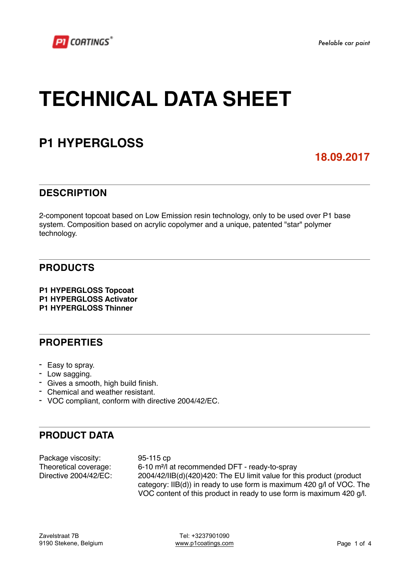*Peelable car paint*

# **TECHNICAL DATA SHEET**

# **P1 HYPERGLOSS**

### **18.09.2017**

### **DESCRIPTION**

2-component topcoat based on Low Emission resin technology, only to be used over P1 base system. Composition based on acrylic copolymer and a unique, patented "star" polymer technology.

### **PRODUCTS**

**P1 HYPERGLOSS Topcoat P1 HYPERGLOSS Activator P1 HYPERGLOSS Thinner**

#### **PROPERTIES**

- Easy to spray.
- Low sagging.
- Gives a smooth, high build finish.
- Chemical and weather resistant.
- VOC compliant, conform with directive 2004/42/EC.

### **PRODUCT DATA**

Package viscosity: 95-115 cp

Theoretical coverage: 6-10 m²/l at recommended DFT - ready-to-spray Directive 2004/42/EC: 2004/42/IIB(d)(420)420: The EU limit value for this product (product category: IIB(d)) in ready to use form is maximum 420 g/l of VOC. The VOC content of this product in ready to use form is maximum 420 g/l.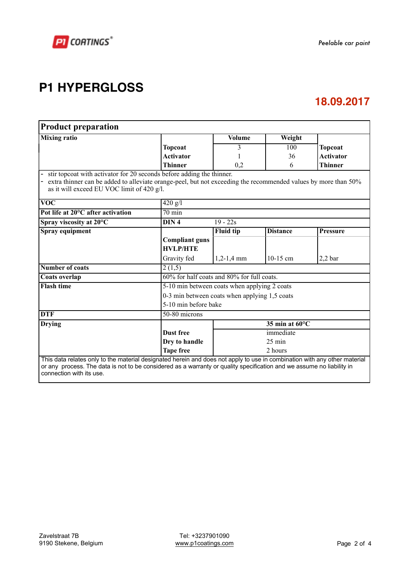

# **P1 HYPERGLOSS**

### **18.09.2017**

| <b>Product preparation</b>                                                                                                                                                                                                                                                     |                                              |                                               |                 |                  |  |
|--------------------------------------------------------------------------------------------------------------------------------------------------------------------------------------------------------------------------------------------------------------------------------|----------------------------------------------|-----------------------------------------------|-----------------|------------------|--|
| <b>Mixing ratio</b>                                                                                                                                                                                                                                                            |                                              | <b>Volume</b>                                 | Weight          |                  |  |
|                                                                                                                                                                                                                                                                                | <b>Topcoat</b>                               | 3                                             | 100             | <b>Topcoat</b>   |  |
|                                                                                                                                                                                                                                                                                | <b>Activator</b>                             |                                               | 36              | <b>Activator</b> |  |
|                                                                                                                                                                                                                                                                                | <b>Thinner</b>                               | 0,2                                           | 6               | <b>Thinner</b>   |  |
| stir topcoat with activator for 20 seconds before adding the thinner.<br>extra thinner can be added to alleviate orange-peel, but not exceeding the recommended values by more than 50%<br>as it will exceed EU VOC limit of 420 g/l.                                          |                                              |                                               |                 |                  |  |
| $\overline{\text{VOC}}$                                                                                                                                                                                                                                                        | $420$ g/l                                    |                                               |                 |                  |  |
| Pot life at 20°C after activation                                                                                                                                                                                                                                              | $70 \text{ min}$                             |                                               |                 |                  |  |
| Spray viscosity at 20°C                                                                                                                                                                                                                                                        | DIN <sub>4</sub>                             | $19 - 22s$                                    |                 |                  |  |
| Spray equipment                                                                                                                                                                                                                                                                |                                              | <b>Fluid tip</b>                              | <b>Distance</b> | <b>Pressure</b>  |  |
|                                                                                                                                                                                                                                                                                | <b>Compliant guns</b>                        |                                               |                 |                  |  |
|                                                                                                                                                                                                                                                                                | <b>HVLP/HTE</b>                              |                                               |                 |                  |  |
|                                                                                                                                                                                                                                                                                | Gravity fed                                  | $1,2-1,4$ mm                                  | $10-15$ cm      | $2,2$ bar        |  |
| <b>Number of coats</b>                                                                                                                                                                                                                                                         | 2(1,5)                                       |                                               |                 |                  |  |
| Coats overlap                                                                                                                                                                                                                                                                  |                                              | 60% for half coats and 80% for full coats.    |                 |                  |  |
| <b>Flash time</b>                                                                                                                                                                                                                                                              | 5-10 min between coats when applying 2 coats |                                               |                 |                  |  |
|                                                                                                                                                                                                                                                                                |                                              | 0-3 min between coats when applying 1,5 coats |                 |                  |  |
|                                                                                                                                                                                                                                                                                |                                              | 5-10 min before bake                          |                 |                  |  |
| <b>DTF</b>                                                                                                                                                                                                                                                                     | $50-80$ microns                              |                                               |                 |                  |  |
| Drying                                                                                                                                                                                                                                                                         |                                              | 35 min at 60°C                                |                 |                  |  |
|                                                                                                                                                                                                                                                                                | <b>Dust free</b>                             | immediate                                     |                 |                  |  |
|                                                                                                                                                                                                                                                                                | Dry to handle                                | $25 \text{ min}$                              |                 |                  |  |
|                                                                                                                                                                                                                                                                                | <b>Tape free</b>                             |                                               | 2 hours         |                  |  |
| This data relates only to the material designated herein and does not apply to use in combination with any other material<br>or any process. The data is not to be considered as a warranty or quality specification and we assume no liability in<br>connection with its use. |                                              |                                               |                 |                  |  |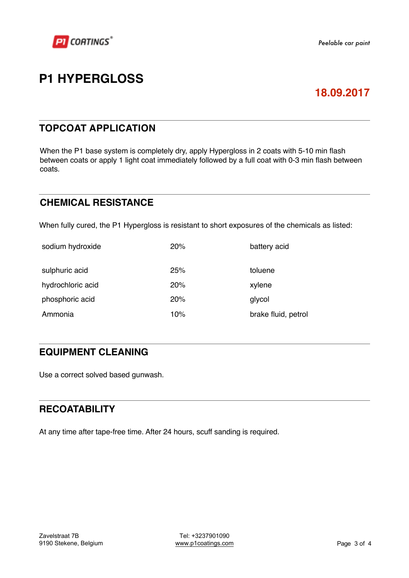

### **P1 HYPERGLOSS**

### **18.09.2017**

### **TOPCOAT APPLICATION**

When the P1 base system is completely dry, apply Hypergloss in 2 coats with 5-10 min flash between coats or apply 1 light coat immediately followed by a full coat with 0-3 min flash between coats.

### **CHEMICAL RESISTANCE**

When fully cured, the P1 Hypergloss is resistant to short exposures of the chemicals as listed:

| sodium hydroxide  | 20% | battery acid        |
|-------------------|-----|---------------------|
| sulphuric acid    | 25% | toluene             |
| hydrochloric acid | 20% | xylene              |
| phosphoric acid   | 20% | glycol              |
| Ammonia           | 10% | brake fluid, petrol |

### **EQUIPMENT CLEANING**

Use a correct solved based gunwash.

#### **RECOATABILITY**

At any time after tape-free time. After 24 hours, scuff sanding is required.